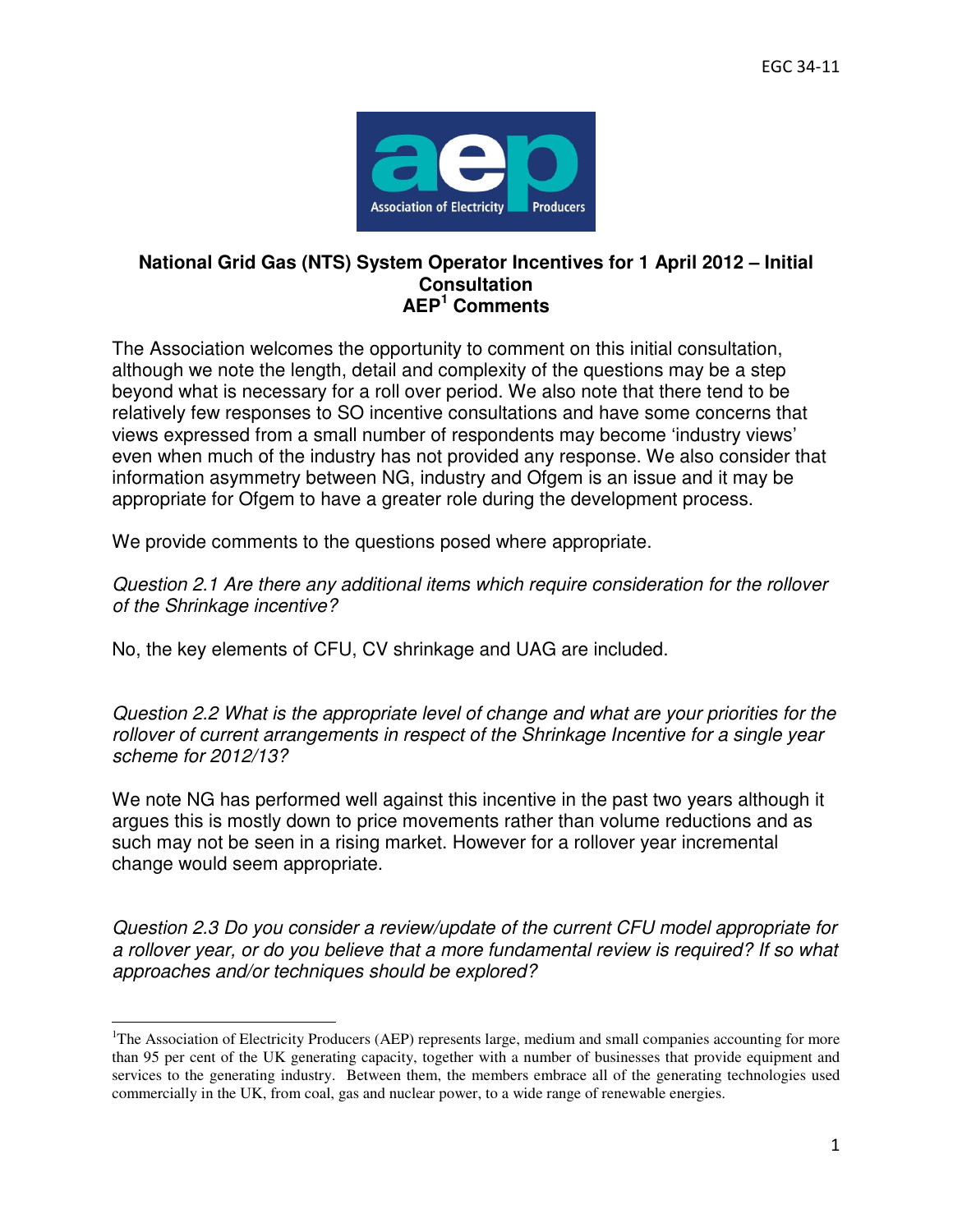

## **National Grid Gas (NTS) System Operator Incentives for 1 April 2012 – Initial Consultation AEP<sup>1</sup> Comments**

The Association welcomes the opportunity to comment on this initial consultation, although we note the length, detail and complexity of the questions may be a step beyond what is necessary for a roll over period. We also note that there tend to be relatively few responses to SO incentive consultations and have some concerns that views expressed from a small number of respondents may become 'industry views' even when much of the industry has not provided any response. We also consider that information asymmetry between NG, industry and Ofgem is an issue and it may be appropriate for Ofgem to have a greater role during the development process.

We provide comments to the questions posed where appropriate.

Question 2.1 Are there any additional items which require consideration for the rollover of the Shrinkage incentive?

No, the key elements of CFU, CV shrinkage and UAG are included.

 $\overline{a}$ 

Question 2.2 What is the appropriate level of change and what are your priorities for the rollover of current arrangements in respect of the Shrinkage Incentive for a single year scheme for 2012/13?

We note NG has performed well against this incentive in the past two years although it argues this is mostly down to price movements rather than volume reductions and as such may not be seen in a rising market. However for a rollover year incremental change would seem appropriate.

Question 2.3 Do you consider a review/update of the current CFU model appropriate for a rollover year, or do you believe that a more fundamental review is required? If so what approaches and/or techniques should be explored?

<sup>&</sup>lt;sup>1</sup>The Association of Electricity Producers (AEP) represents large, medium and small companies accounting for more than 95 per cent of the UK generating capacity, together with a number of businesses that provide equipment and services to the generating industry. Between them, the members embrace all of the generating technologies used commercially in the UK, from coal, gas and nuclear power, to a wide range of renewable energies.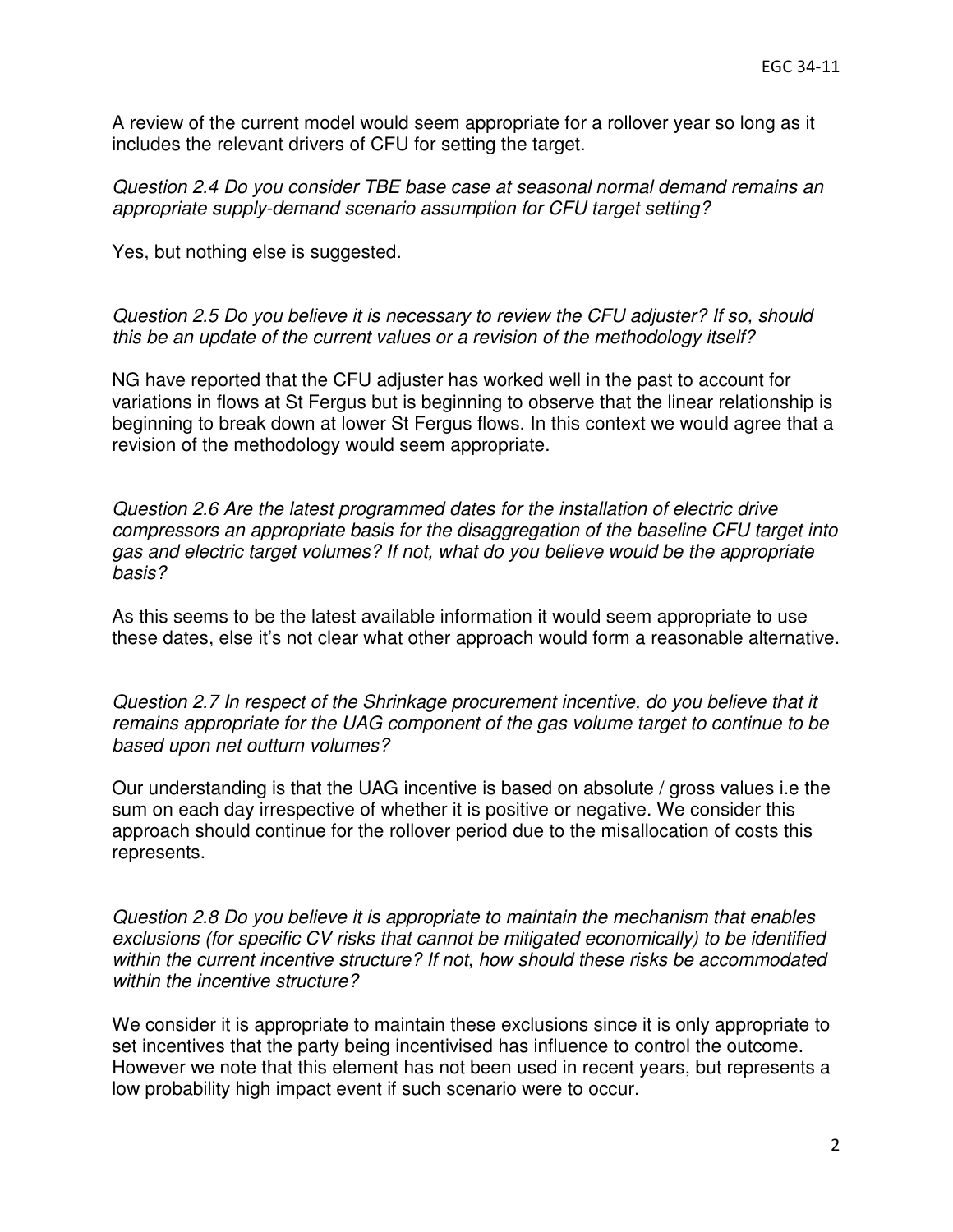A review of the current model would seem appropriate for a rollover year so long as it includes the relevant drivers of CFU for setting the target.

Question 2.4 Do you consider TBE base case at seasonal normal demand remains an appropriate supply-demand scenario assumption for CFU target setting?

Yes, but nothing else is suggested.

Question 2.5 Do you believe it is necessary to review the CFU adjuster? If so, should this be an update of the current values or a revision of the methodology itself?

NG have reported that the CFU adjuster has worked well in the past to account for variations in flows at St Fergus but is beginning to observe that the linear relationship is beginning to break down at lower St Fergus flows. In this context we would agree that a revision of the methodology would seem appropriate.

Question 2.6 Are the latest programmed dates for the installation of electric drive compressors an appropriate basis for the disaggregation of the baseline CFU target into gas and electric target volumes? If not, what do you believe would be the appropriate basis?

As this seems to be the latest available information it would seem appropriate to use these dates, else it's not clear what other approach would form a reasonable alternative.

Question 2.7 In respect of the Shrinkage procurement incentive, do you believe that it remains appropriate for the UAG component of the gas volume target to continue to be based upon net outturn volumes?

Our understanding is that the UAG incentive is based on absolute / gross values i.e the sum on each day irrespective of whether it is positive or negative. We consider this approach should continue for the rollover period due to the misallocation of costs this represents.

Question 2.8 Do you believe it is appropriate to maintain the mechanism that enables exclusions (for specific CV risks that cannot be mitigated economically) to be identified within the current incentive structure? If not, how should these risks be accommodated within the incentive structure?

We consider it is appropriate to maintain these exclusions since it is only appropriate to set incentives that the party being incentivised has influence to control the outcome. However we note that this element has not been used in recent years, but represents a low probability high impact event if such scenario were to occur.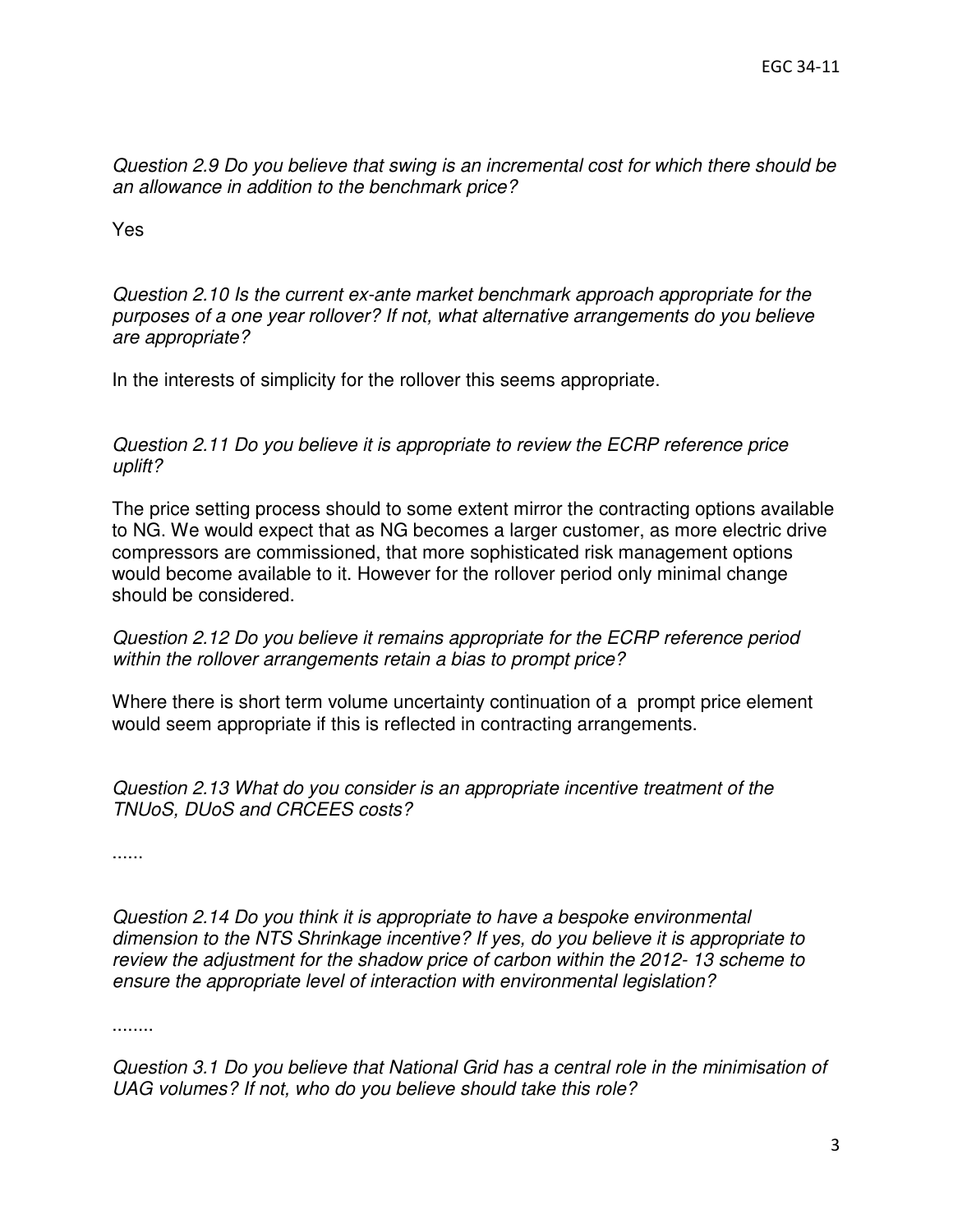Question 2.9 Do you believe that swing is an incremental cost for which there should be an allowance in addition to the benchmark price?

Yes

Question 2.10 Is the current ex-ante market benchmark approach appropriate for the purposes of a one year rollover? If not, what alternative arrangements do you believe are appropriate?

In the interests of simplicity for the rollover this seems appropriate.

Question 2.11 Do you believe it is appropriate to review the ECRP reference price uplift?

The price setting process should to some extent mirror the contracting options available to NG. We would expect that as NG becomes a larger customer, as more electric drive compressors are commissioned, that more sophisticated risk management options would become available to it. However for the rollover period only minimal change should be considered.

## Question 2.12 Do you believe it remains appropriate for the ECRP reference period within the rollover arrangements retain a bias to prompt price?

Where there is short term volume uncertainty continuation of a prompt price element would seem appropriate if this is reflected in contracting arrangements.

Question 2.13 What do you consider is an appropriate incentive treatment of the TNUoS, DUoS and CRCEES costs?

......

Question 2.14 Do you think it is appropriate to have a bespoke environmental dimension to the NTS Shrinkage incentive? If yes, do you believe it is appropriate to review the adjustment for the shadow price of carbon within the 2012- 13 scheme to ensure the appropriate level of interaction with environmental legislation?

........

Question 3.1 Do you believe that National Grid has a central role in the minimisation of UAG volumes? If not, who do you believe should take this role?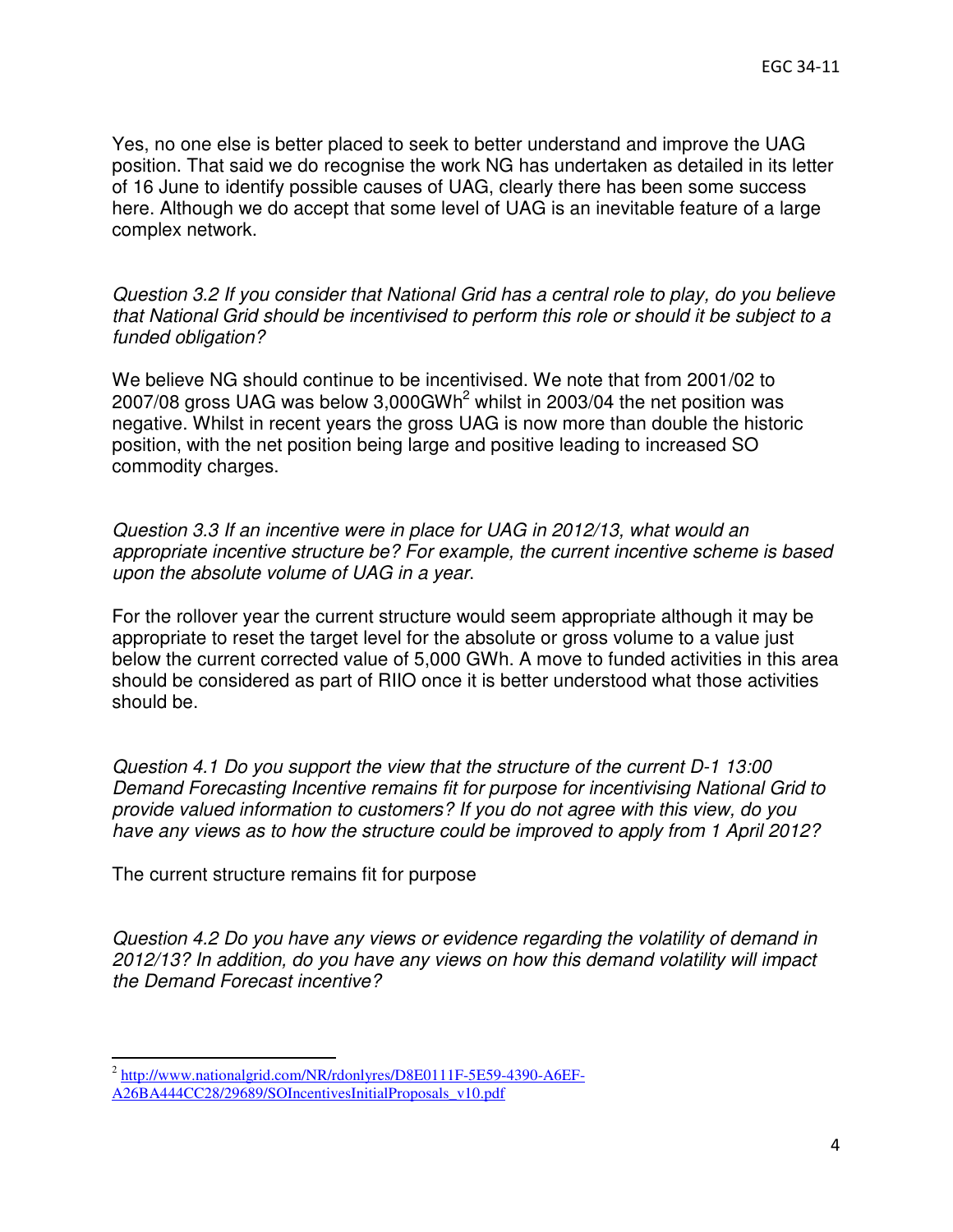Yes, no one else is better placed to seek to better understand and improve the UAG position. That said we do recognise the work NG has undertaken as detailed in its letter of 16 June to identify possible causes of UAG, clearly there has been some success here. Although we do accept that some level of UAG is an inevitable feature of a large complex network.

Question 3.2 If you consider that National Grid has a central role to play, do you believe that National Grid should be incentivised to perform this role or should it be subject to a funded obligation?

We believe NG should continue to be incentivised. We note that from 2001/02 to 2007/08 gross UAG was below 3,000GWh<sup>2</sup> whilst in 2003/04 the net position was negative. Whilst in recent years the gross UAG is now more than double the historic position, with the net position being large and positive leading to increased SO commodity charges.

Question 3.3 If an incentive were in place for UAG in 2012/13, what would an appropriate incentive structure be? For example, the current incentive scheme is based upon the absolute volume of UAG in a year.

For the rollover year the current structure would seem appropriate although it may be appropriate to reset the target level for the absolute or gross volume to a value just below the current corrected value of 5,000 GWh. A move to funded activities in this area should be considered as part of RIIO once it is better understood what those activities should be.

Question 4.1 Do you support the view that the structure of the current D-1 13:00 Demand Forecasting Incentive remains fit for purpose for incentivising National Grid to provide valued information to customers? If you do not agree with this view, do you have any views as to how the structure could be improved to apply from 1 April 2012?

The current structure remains fit for purpose

Question 4.2 Do you have any views or evidence regarding the volatility of demand in 2012/13? In addition, do you have any views on how this demand volatility will impact the Demand Forecast incentive?

l

<sup>&</sup>lt;sup>2</sup> http://www.nationalgrid.com/NR/rdonlyres/D8E0111F-5E59-4390-A6EF-

A26BA444CC28/29689/SOIncentivesInitialProposals\_v10.pdf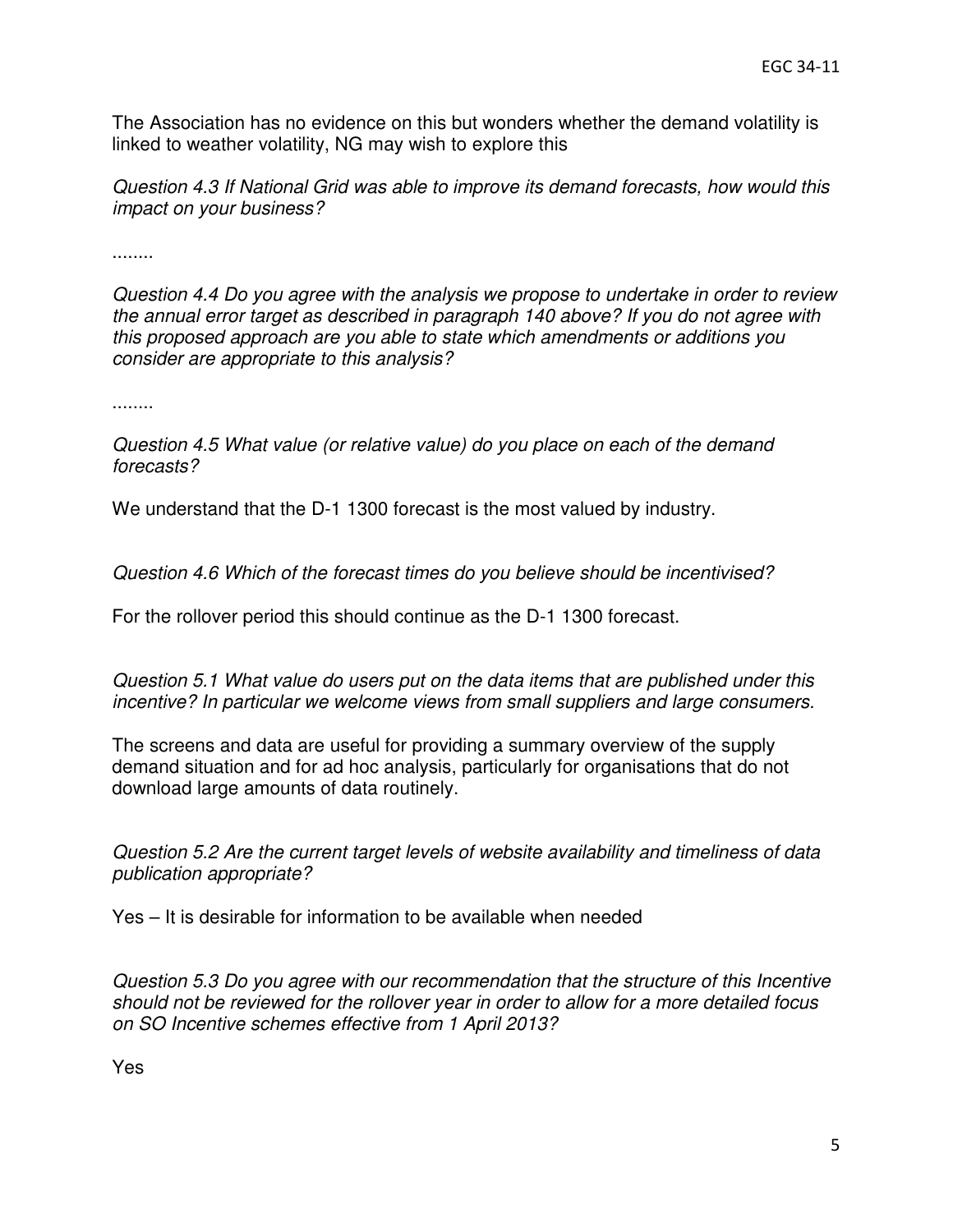The Association has no evidence on this but wonders whether the demand volatility is linked to weather volatility, NG may wish to explore this

Question 4.3 If National Grid was able to improve its demand forecasts, how would this impact on your business?

........

Question 4.4 Do you agree with the analysis we propose to undertake in order to review the annual error target as described in paragraph 140 above? If you do not agree with this proposed approach are you able to state which amendments or additions you consider are appropriate to this analysis?

........

Question 4.5 What value (or relative value) do you place on each of the demand forecasts?

We understand that the D-1 1300 forecast is the most valued by industry.

Question 4.6 Which of the forecast times do you believe should be incentivised?

For the rollover period this should continue as the D-1 1300 forecast.

Question 5.1 What value do users put on the data items that are published under this incentive? In particular we welcome views from small suppliers and large consumers.

The screens and data are useful for providing a summary overview of the supply demand situation and for ad hoc analysis, particularly for organisations that do not download large amounts of data routinely.

Question 5.2 Are the current target levels of website availability and timeliness of data publication appropriate?

Yes – It is desirable for information to be available when needed

Question 5.3 Do you agree with our recommendation that the structure of this Incentive should not be reviewed for the rollover year in order to allow for a more detailed focus on SO Incentive schemes effective from 1 April 2013?

Yes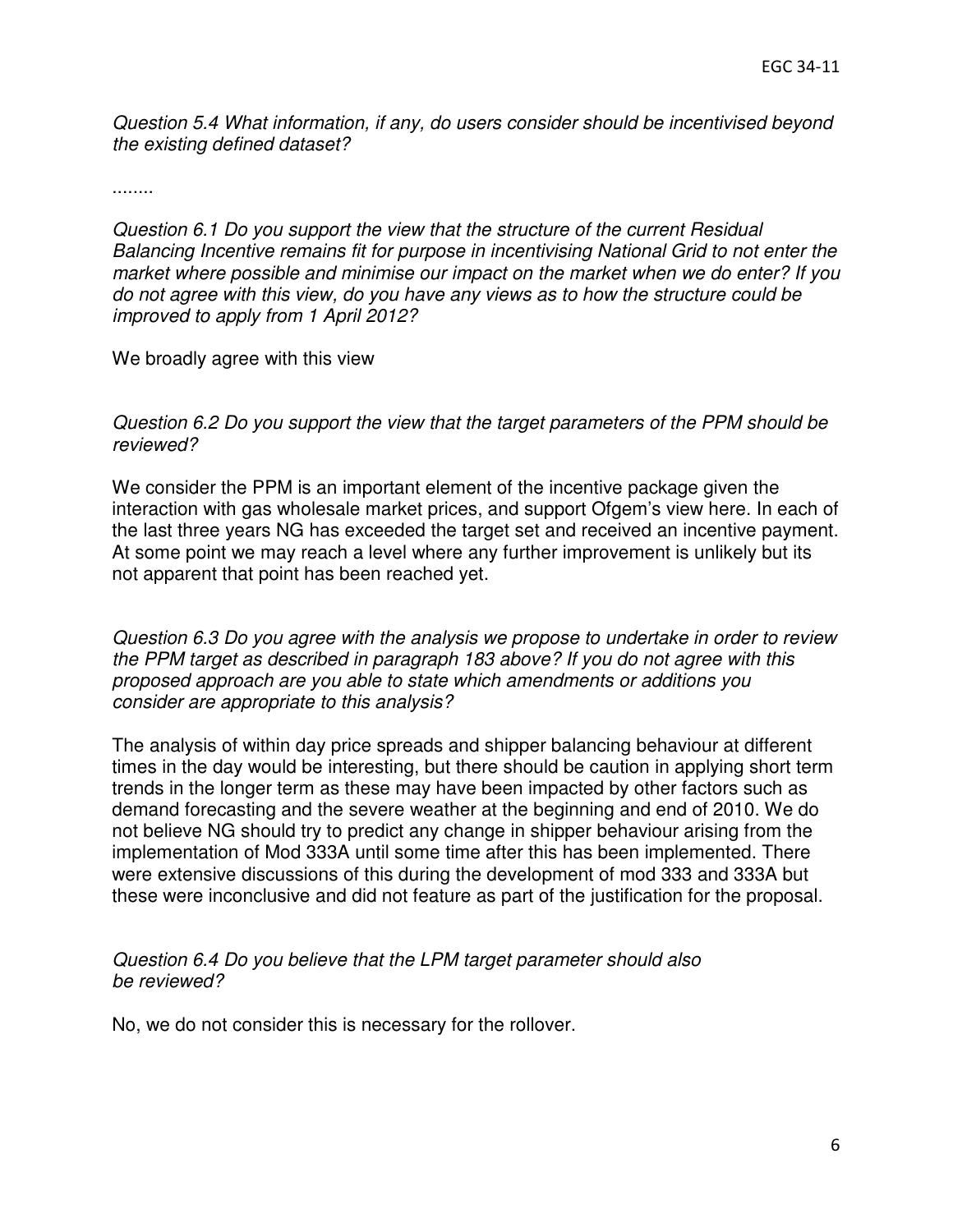Question 5.4 What information, if any, do users consider should be incentivised beyond the existing defined dataset?

........

Question 6.1 Do you support the view that the structure of the current Residual Balancing Incentive remains fit for purpose in incentivising National Grid to not enter the market where possible and minimise our impact on the market when we do enter? If you do not agree with this view, do you have any views as to how the structure could be improved to apply from 1 April 2012?

We broadly agree with this view

Question 6.2 Do you support the view that the target parameters of the PPM should be reviewed?

We consider the PPM is an important element of the incentive package given the interaction with gas wholesale market prices, and support Ofgem's view here. In each of the last three years NG has exceeded the target set and received an incentive payment. At some point we may reach a level where any further improvement is unlikely but its not apparent that point has been reached yet.

Question 6.3 Do you agree with the analysis we propose to undertake in order to review the PPM target as described in paragraph 183 above? If you do not agree with this proposed approach are you able to state which amendments or additions you consider are appropriate to this analysis?

The analysis of within day price spreads and shipper balancing behaviour at different times in the day would be interesting, but there should be caution in applying short term trends in the longer term as these may have been impacted by other factors such as demand forecasting and the severe weather at the beginning and end of 2010. We do not believe NG should try to predict any change in shipper behaviour arising from the implementation of Mod 333A until some time after this has been implemented. There were extensive discussions of this during the development of mod 333 and 333A but these were inconclusive and did not feature as part of the justification for the proposal.

## Question 6.4 Do you believe that the LPM target parameter should also be reviewed?

No, we do not consider this is necessary for the rollover.